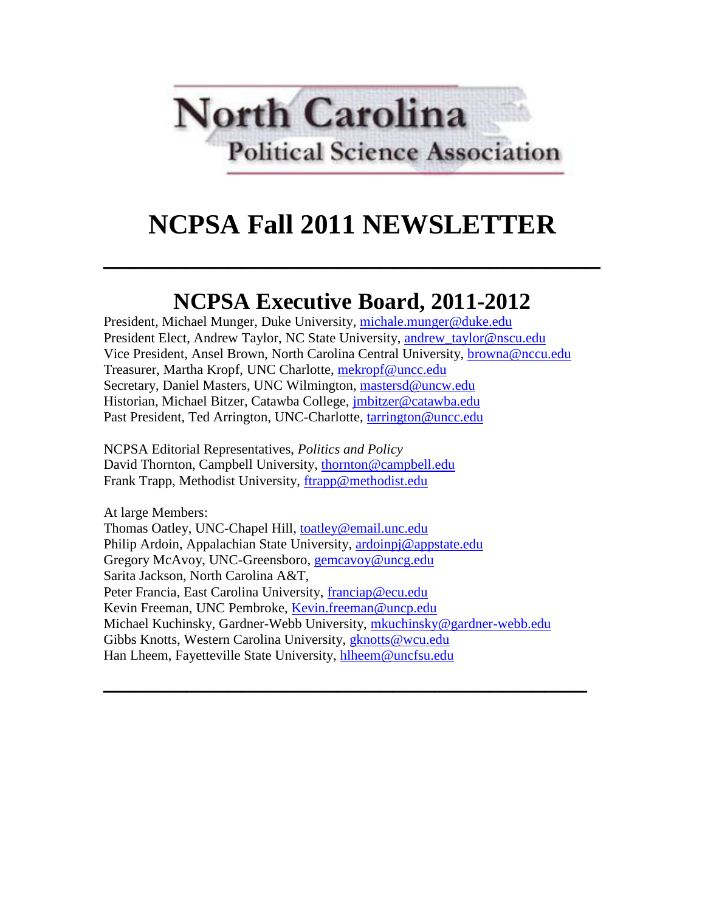

# **NCPSA Fall 2011 NEWSLETTER**

**\_\_\_\_\_\_\_\_\_\_\_\_\_\_\_\_\_\_\_\_\_\_\_\_\_\_\_\_\_\_\_\_\_\_\_\_**

# **NCPSA Executive Board, 2011-2012**

President, Michael Munger, Duke University, [michale.munger@duke.edu](mailto:michale.munger@duke.edu) President Elect, Andrew Taylor, NC State University, [andrew\\_taylor@nscu.edu](mailto:andrew_taylor@nscu.edu) Vice President, Ansel Brown, North Carolina Central University, [browna@nccu.edu](mailto:browna@nccu.edu) Treasurer, Martha Kropf, UNC Charlotte, [mekropf@uncc.edu](mailto:mekropf@uncc.edu) Secretary, Daniel Masters, UNC Wilmington, [mastersd@uncw.edu](mailto:mastersd@uncw.edu) Historian, Michael Bitzer, Catawba College, [jmbitzer@catawba.edu](mailto:jmbitzer@catawba.edu) Past President, Ted Arrington, UNC-Charlotte, [tarrington@uncc.edu](mailto:tarrington@uncc.edu)

NCPSA Editorial Representatives, *Politics and Policy* David Thornton, Campbell University, [thornton@campbell.edu](mailto:thornton@campbell.edu) Frank Trapp, Methodist University, [ftrapp@methodist.edu](mailto:ftrapp@methodist.edu)

At large Members: Thomas Oatley, UNC-Chapel Hill, [toatley@email.unc.edu](mailto:toatley@email.unc.edu) Philip Ardoin, Appalachian State University, [ardoinpj@appstate.edu](mailto:ardoinpj@appstate.edu) Gregory McAvoy, UNC-Greensboro, [gemcavoy@uncg.edu](mailto:gemcavoy@uncg.edu) Sarita Jackson, North Carolina A&T, Peter Francia, East Carolina University, [franciap@ecu.edu](mailto:franciap@ecu.edu) Kevin Freeman, UNC Pembroke, [Kevin.freeman@uncp.edu](mailto:Kevin.freeman@uncp.edu) Michael Kuchinsky, Gardner-Webb University, [mkuchinsky@gardner-webb.edu](mailto:mkuchinsky@gardner-webb.edu) Gibbs Knotts, Western Carolina University, *gknotts@wcu.edu* Han Lheem, Fayetteville State University, [hlheem@uncfsu.edu](mailto:hlheem@uncfsu.edu)

**\_\_\_\_\_\_\_\_\_\_\_\_\_\_\_\_\_\_\_\_\_\_\_\_\_\_\_\_\_\_\_\_\_\_\_**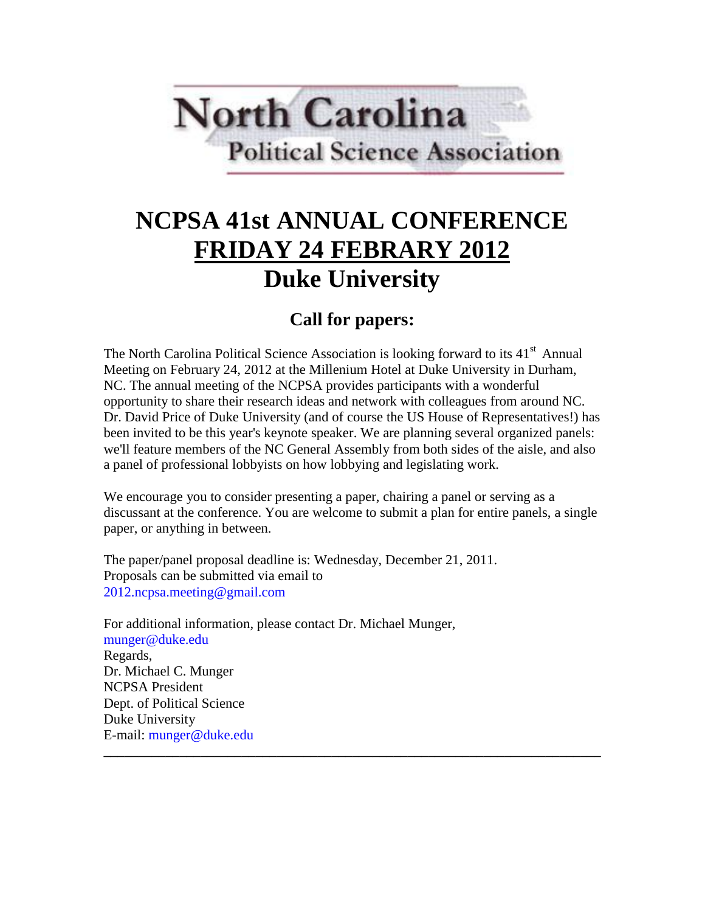

# **NCPSA 41st ANNUAL CONFERENCE FRIDAY 24 FEBRARY 2012 Duke University**

## **Call for papers:**

The North Carolina Political Science Association is looking forward to its 41<sup>st</sup> Annual Meeting on February 24, 2012 at the Millenium Hotel at Duke University in Durham, NC. The annual meeting of the NCPSA provides participants with a wonderful opportunity to share their research ideas and network with colleagues from around NC. Dr. David Price of Duke University (and of course the US House of Representatives!) has been invited to be this year's keynote speaker. We are planning several organized panels: we'll feature members of the NC General Assembly from both sides of the aisle, and also a panel of professional lobbyists on how lobbying and legislating work.

We encourage you to consider presenting a paper, chairing a panel or serving as a discussant at the conference. You are welcome to submit a plan for entire panels, a single paper, or anything in between.

**\_\_\_\_\_\_\_\_\_\_\_\_\_\_\_\_\_\_\_\_\_\_\_\_\_\_\_\_\_\_\_\_\_\_\_\_\_\_\_\_\_\_\_\_\_\_\_\_\_\_\_\_\_\_\_\_\_\_\_\_\_\_\_\_\_\_\_\_\_\_\_\_**

The paper/panel proposal deadline is: Wednesday, December 21, 2011. Proposals can be submitted via email to 2012.ncpsa.meeting@gmail.com

For additional information, please contact Dr. Michael Munger, munger@duke.edu Regards, Dr. Michael C. Munger NCPSA President Dept. of Political Science Duke University E-mail: munger@duke.edu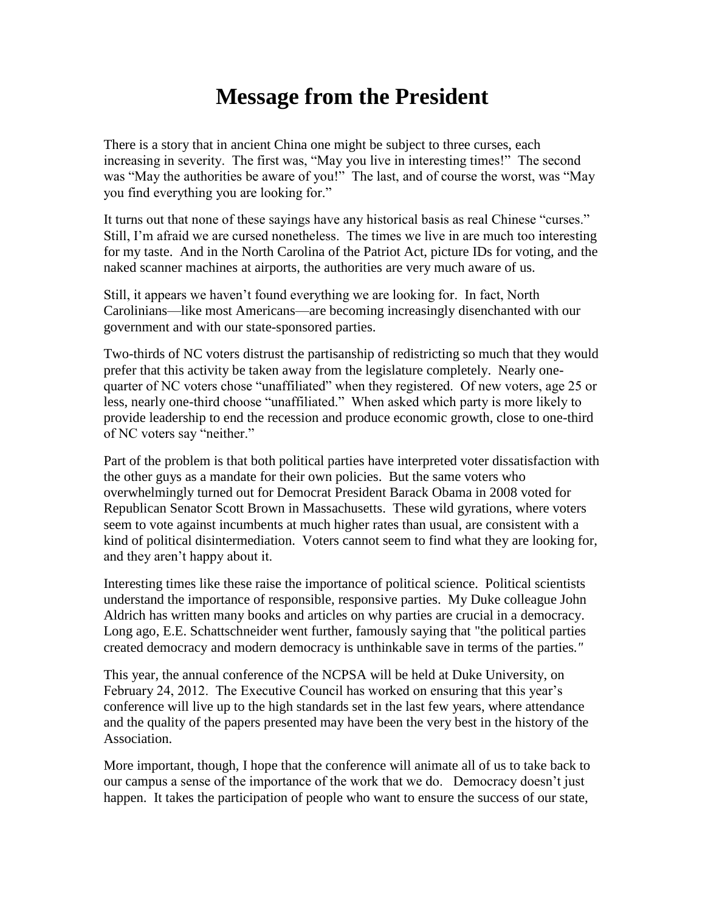## **Message from the President**

There is a story that in ancient China one might be subject to three curses, each increasing in severity. The first was, "May you live in interesting times!" The second was "May the authorities be aware of you!" The last, and of course the worst, was "May you find everything you are looking for."

It turns out that none of these sayings have any historical basis as real Chinese "curses." Still, I'm afraid we are cursed nonetheless. The times we live in are much too interesting for my taste. And in the North Carolina of the Patriot Act, picture IDs for voting, and the naked scanner machines at airports, the authorities are very much aware of us.

Still, it appears we haven't found everything we are looking for. In fact, North Carolinians—like most Americans—are becoming increasingly disenchanted with our government and with our state-sponsored parties.

Two-thirds of NC voters distrust the partisanship of redistricting so much that they would prefer that this activity be taken away from the legislature completely. Nearly onequarter of NC voters chose "unaffiliated" when they registered. Of new voters, age 25 or less, nearly one-third choose "unaffiliated." When asked which party is more likely to provide leadership to end the recession and produce economic growth, close to one-third of NC voters say "neither."

Part of the problem is that both political parties have interpreted voter dissatisfaction with the other guys as a mandate for their own policies. But the same voters who overwhelmingly turned out for Democrat President Barack Obama in 2008 voted for Republican Senator Scott Brown in Massachusetts. These wild gyrations, where voters seem to vote against incumbents at much higher rates than usual, are consistent with a kind of political disintermediation. Voters cannot seem to find what they are looking for, and they aren't happy about it.

Interesting times like these raise the importance of political science. Political scientists understand the importance of responsible, responsive parties. My Duke colleague John Aldrich has written many books and articles on why parties are crucial in a democracy. Long ago, E.E. Schattschneider went further, famously saying that "the political parties created democracy and modern democracy is unthinkable save in terms of the parties*."*

This year, the annual conference of the NCPSA will be held at Duke University, on February 24, 2012. The Executive Council has worked on ensuring that this year's conference will live up to the high standards set in the last few years, where attendance and the quality of the papers presented may have been the very best in the history of the Association.

More important, though, I hope that the conference will animate all of us to take back to our campus a sense of the importance of the work that we do. Democracy doesn't just happen. It takes the participation of people who want to ensure the success of our state,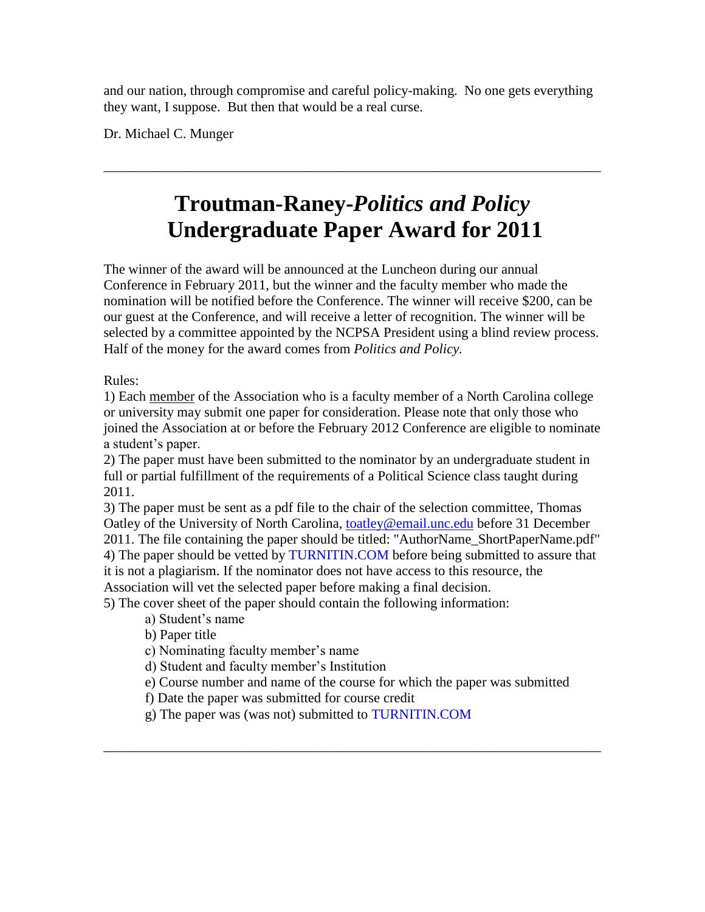and our nation, through compromise and careful policy-making. No one gets everything they want, I suppose. But then that would be a real curse.

Dr. Michael C. Munger

## **Troutman-Raney-***Politics and Policy* **Undergraduate Paper Award for 2011**

\_\_\_\_\_\_\_\_\_\_\_\_\_\_\_\_\_\_\_\_\_\_\_\_\_\_\_\_\_\_\_\_\_\_\_\_\_\_\_\_\_\_\_\_\_\_\_\_\_\_\_\_\_\_\_\_\_\_\_\_\_\_\_\_\_\_\_\_\_\_\_\_

The winner of the award will be announced at the Luncheon during our annual Conference in February 2011, but the winner and the faculty member who made the nomination will be notified before the Conference. The winner will receive \$200, can be our guest at the Conference, and will receive a letter of recognition. The winner will be selected by a committee appointed by the NCPSA President using a blind review process. Half of the money for the award comes from *Politics and Policy.*

Rules:

1) Each member of the Association who is a faculty member of a North Carolina college or university may submit one paper for consideration. Please note that only those who joined the Association at or before the February 2012 Conference are eligible to nominate a student's paper.

2) The paper must have been submitted to the nominator by an undergraduate student in full or partial fulfillment of the requirements of a Political Science class taught during 2011.

3) The paper must be sent as a pdf file to the chair of the selection committee, Thomas Oatley of the University of North Carolina, [toatley@email.unc.edu](mailto:toatley@email.unc.edu) before 31 December 2011. The file containing the paper should be titled: "AuthorName\_ShortPaperName.pdf" 4) The paper should be vetted by TURNITIN.COM before being submitted to assure that it is not a plagiarism. If the nominator does not have access to this resource, the Association will vet the selected paper before making a final decision.

5) The cover sheet of the paper should contain the following information:

a) Student's name

b) Paper title

c) Nominating faculty member's name

d) Student and faculty member's Institution

e) Course number and name of the course for which the paper was submitted

\_\_\_\_\_\_\_\_\_\_\_\_\_\_\_\_\_\_\_\_\_\_\_\_\_\_\_\_\_\_\_\_\_\_\_\_\_\_\_\_\_\_\_\_\_\_\_\_\_\_\_\_\_\_\_\_\_\_\_\_\_\_\_\_\_\_\_\_\_\_\_\_

f) Date the paper was submitted for course credit

g) The paper was (was not) submitted to TURNITIN.COM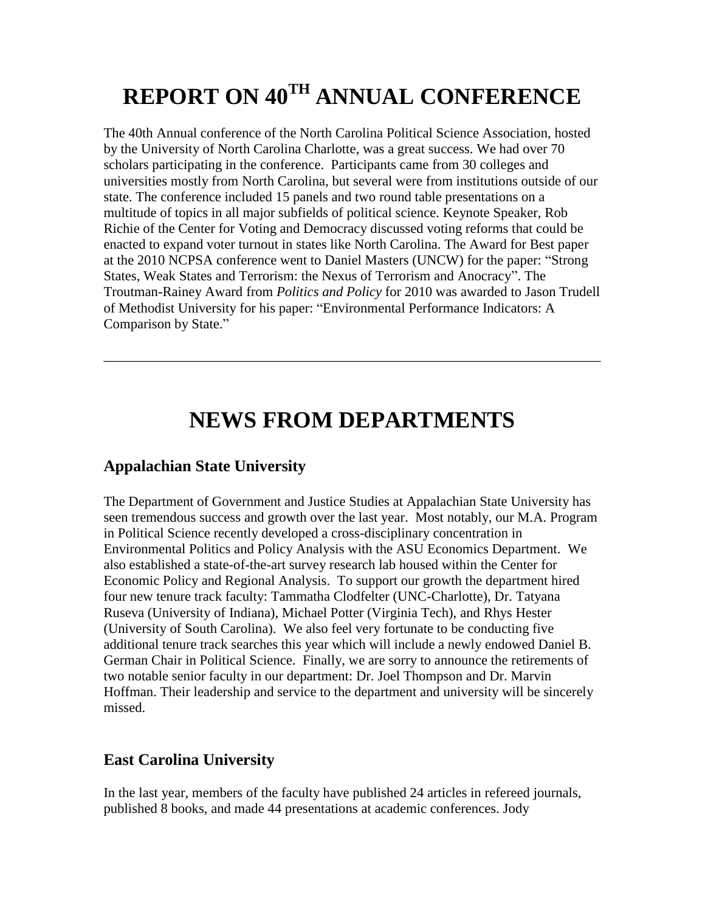# **REPORT ON 40TH ANNUAL CONFERENCE**

The 40th Annual conference of the North Carolina Political Science Association, hosted by the University of North Carolina Charlotte, was a great success. We had over 70 scholars participating in the conference. Participants came from 30 colleges and universities mostly from North Carolina, but several were from institutions outside of our state. The conference included 15 panels and two round table presentations on a multitude of topics in all major subfields of political science. Keynote Speaker, Rob Richie of the Center for Voting and Democracy discussed voting reforms that could be enacted to expand voter turnout in states like North Carolina. The Award for Best paper at the 2010 NCPSA conference went to Daniel Masters (UNCW) for the paper: "Strong States, Weak States and Terrorism: the Nexus of Terrorism and Anocracy". The Troutman-Rainey Award from *Politics and Policy* for 2010 was awarded to Jason Trudell of Methodist University for his paper: "Environmental Performance Indicators: A Comparison by State."

## **NEWS FROM DEPARTMENTS**

\_\_\_\_\_\_\_\_\_\_\_\_\_\_\_\_\_\_\_\_\_\_\_\_\_\_\_\_\_\_\_\_\_\_\_\_\_\_\_\_\_\_\_\_\_\_\_\_\_\_\_\_\_\_\_\_\_\_\_\_\_\_\_\_\_\_\_\_\_\_\_\_

### **Appalachian State University**

The Department of Government and Justice Studies at Appalachian State University has seen tremendous success and growth over the last year. Most notably, our M.A. Program in Political Science recently developed a cross-disciplinary concentration in Environmental Politics and Policy Analysis with the ASU Economics Department. We also established a state-of-the-art survey research lab housed within the Center for Economic Policy and Regional Analysis. To support our growth the department hired four new tenure track faculty: Tammatha Clodfelter (UNC-Charlotte), Dr. Tatyana Ruseva (University of Indiana), Michael Potter (Virginia Tech), and Rhys Hester (University of South Carolina). We also feel very fortunate to be conducting five additional tenure track searches this year which will include a newly endowed Daniel B. German Chair in Political Science. Finally, we are sorry to announce the retirements of two notable senior faculty in our department: Dr. Joel Thompson and Dr. Marvin Hoffman. Their leadership and service to the department and university will be sincerely missed.

### **East Carolina University**

In the last year, members of the faculty have published 24 articles in refereed journals, published 8 books, and made 44 presentations at academic conferences. Jody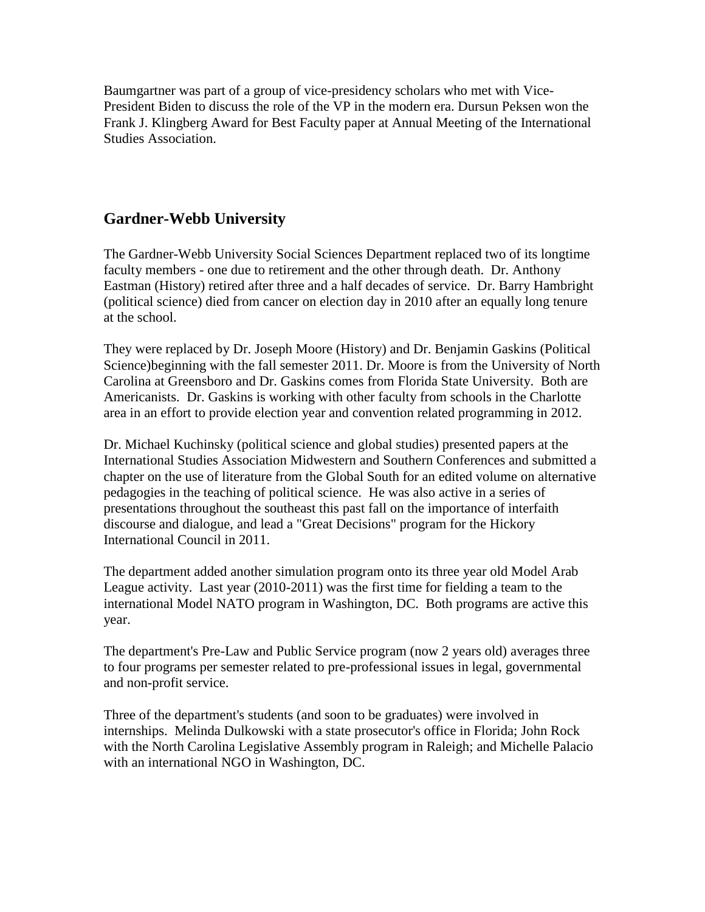Baumgartner was part of a group of vice-presidency scholars who met with Vice-President Biden to discuss the role of the VP in the modern era. Dursun Peksen won the Frank J. Klingberg Award for Best Faculty paper at Annual Meeting of the International Studies Association.

#### **Gardner-Webb University**

The Gardner-Webb University Social Sciences Department replaced two of its longtime faculty members - one due to retirement and the other through death. Dr. Anthony Eastman (History) retired after three and a half decades of service. Dr. Barry Hambright (political science) died from cancer on election day in 2010 after an equally long tenure at the school.

They were replaced by Dr. Joseph Moore (History) and Dr. Benjamin Gaskins (Political Science)beginning with the fall semester 2011. Dr. Moore is from the University of North Carolina at Greensboro and Dr. Gaskins comes from Florida State University. Both are Americanists. Dr. Gaskins is working with other faculty from schools in the Charlotte area in an effort to provide election year and convention related programming in 2012.

Dr. Michael Kuchinsky (political science and global studies) presented papers at the International Studies Association Midwestern and Southern Conferences and submitted a chapter on the use of literature from the Global South for an edited volume on alternative pedagogies in the teaching of political science. He was also active in a series of presentations throughout the southeast this past fall on the importance of interfaith discourse and dialogue, and lead a "Great Decisions" program for the Hickory International Council in 2011.

The department added another simulation program onto its three year old Model Arab League activity. Last year (2010-2011) was the first time for fielding a team to the international Model NATO program in Washington, DC. Both programs are active this year.

The department's Pre-Law and Public Service program (now 2 years old) averages three to four programs per semester related to pre-professional issues in legal, governmental and non-profit service.

Three of the department's students (and soon to be graduates) were involved in internships. Melinda Dulkowski with a state prosecutor's office in Florida; John Rock with the North Carolina Legislative Assembly program in Raleigh; and Michelle Palacio with an international NGO in Washington, DC.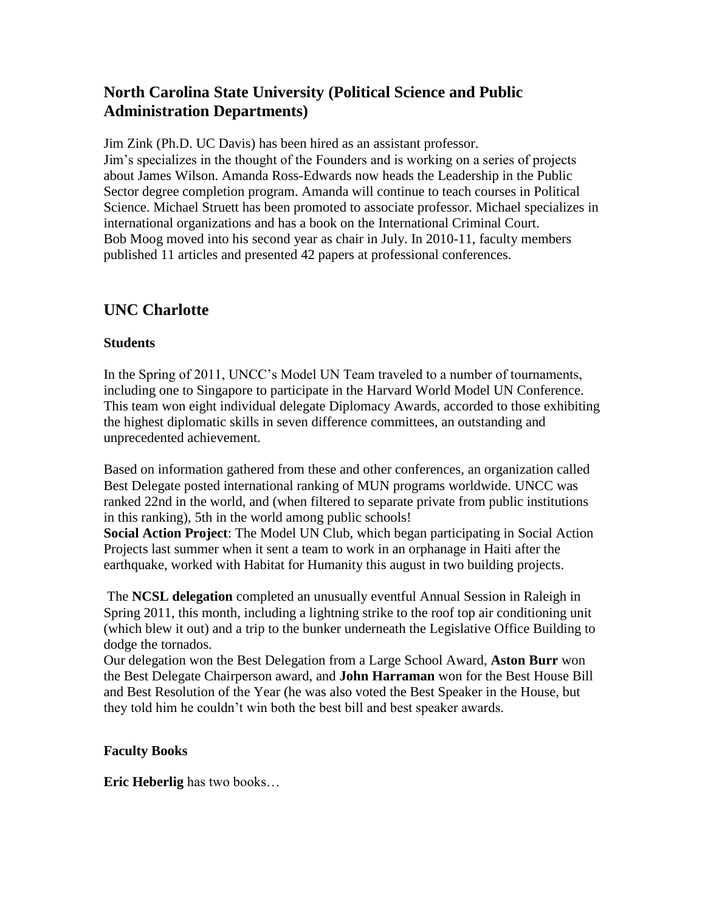### **North Carolina State University (Political Science and Public Administration Departments)**

Jim Zink (Ph.D. UC Davis) has been hired as an assistant professor. Jim's specializes in the thought of the Founders and is working on a series of projects about James Wilson. Amanda Ross-Edwards now heads the Leadership in the Public Sector degree completion program. Amanda will continue to teach courses in Political Science. Michael Struett has been promoted to associate professor. Michael specializes in international organizations and has a book on the International Criminal Court. Bob Moog moved into his second year as chair in July. In 2010-11, faculty members published 11 articles and presented 42 papers at professional conferences.

## **UNC Charlotte**

#### **Students**

In the Spring of 2011, UNCC's Model UN Team traveled to a number of tournaments, including one to Singapore to participate in the Harvard World Model UN Conference. This team won eight individual delegate Diplomacy Awards, accorded to those exhibiting the highest diplomatic skills in seven difference committees, an outstanding and unprecedented achievement.

Based on information gathered from these and other conferences, an organization called Best Delegate posted international ranking of MUN programs worldwide. UNCC was ranked 22nd in the world, and (when filtered to separate private from public institutions in this ranking), 5th in the world among public schools!

**Social Action Project**: The Model UN Club, which began participating in Social Action Projects last summer when it sent a team to work in an orphanage in Haiti after the earthquake, worked with Habitat for Humanity this august in two building projects.

The **NCSL delegation** completed an unusually eventful Annual Session in Raleigh in Spring 2011, this month, including a lightning strike to the roof top air conditioning unit (which blew it out) and a trip to the bunker underneath the Legislative Office Building to dodge the tornados.

Our delegation won the Best Delegation from a Large School Award, **Aston Burr** won the Best Delegate Chairperson award, and **John Harraman** won for the Best House Bill and Best Resolution of the Year (he was also voted the Best Speaker in the House, but they told him he couldn't win both the best bill and best speaker awards.

#### **Faculty Books**

**Eric Heberlig** has two books…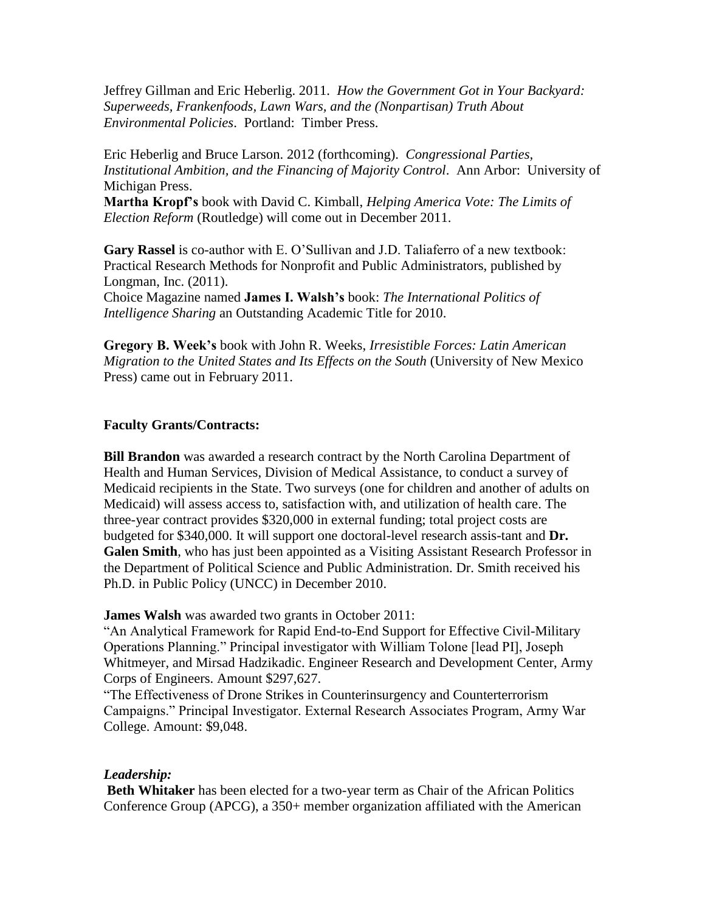Jeffrey Gillman and Eric Heberlig. 2011. *How the Government Got in Your Backyard: Superweeds, Frankenfoods, Lawn Wars, and the (Nonpartisan) Truth About Environmental Policies*. Portland: Timber Press.

Eric Heberlig and Bruce Larson. 2012 (forthcoming). *Congressional Parties, Institutional Ambition, and the Financing of Majority Control*. Ann Arbor: University of Michigan Press.

**Martha Kropf's** book with David C. Kimball, *Helping America Vote: The Limits of Election Reform* (Routledge) will come out in December 2011.

**Gary Rassel** is co-author with E. O'Sullivan and J.D. Taliaferro of a new textbook: Practical Research Methods for Nonprofit and Public Administrators, published by Longman, Inc. (2011).

Choice Magazine named **James I. Walsh's** book: *The International Politics of Intelligence Sharing* an Outstanding Academic Title for 2010.

**Gregory B. Week's** book with John R. Weeks, *Irresistible Forces: Latin American Migration to the United States and Its Effects on the South* (University of New Mexico Press) came out in February 2011.

#### **Faculty Grants/Contracts:**

**Bill Brandon** was awarded a research contract by the North Carolina Department of Health and Human Services, Division of Medical Assistance, to conduct a survey of Medicaid recipients in the State. Two surveys (one for children and another of adults on Medicaid) will assess access to, satisfaction with, and utilization of health care. The three-year contract provides \$320,000 in external funding; total project costs are budgeted for \$340,000. It will support one doctoral-level research assis-tant and **Dr. Galen Smith**, who has just been appointed as a Visiting Assistant Research Professor in the Department of Political Science and Public Administration. Dr. Smith received his Ph.D. in Public Policy (UNCC) in December 2010.

**James Walsh** was awarded two grants in October 2011:

"An Analytical Framework for Rapid End-to-End Support for Effective Civil-Military Operations Planning." Principal investigator with William Tolone [lead PI], Joseph Whitmeyer, and Mirsad Hadzikadic. Engineer Research and Development Center, Army Corps of Engineers. Amount \$297,627.

"The Effectiveness of Drone Strikes in Counterinsurgency and Counterterrorism Campaigns." Principal Investigator. External Research Associates Program, Army War College. Amount: \$9,048.

#### *Leadership:*

**Beth Whitaker** has been elected for a two-year term as Chair of the African Politics Conference Group (APCG), a 350+ member organization affiliated with the American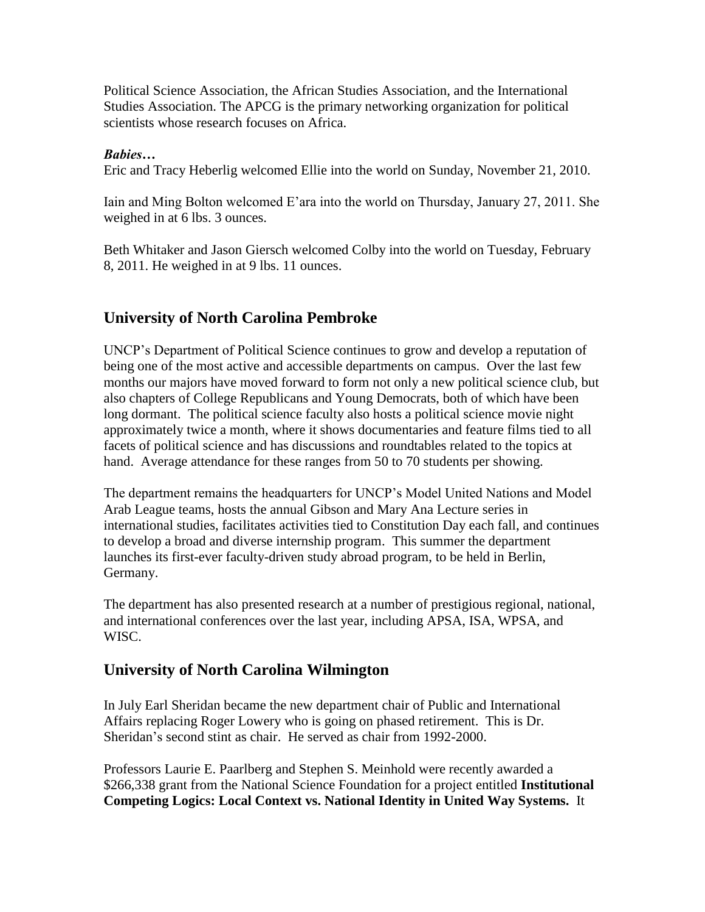Political Science Association, the African Studies Association, and the International Studies Association. The APCG is the primary networking organization for political scientists whose research focuses on Africa.

#### *Babies…*

Eric and Tracy Heberlig welcomed Ellie into the world on Sunday, November 21, 2010.

Iain and Ming Bolton welcomed E'ara into the world on Thursday, January 27, 2011. She weighed in at 6 lbs. 3 ounces.

Beth Whitaker and Jason Giersch welcomed Colby into the world on Tuesday, February 8, 2011. He weighed in at 9 lbs. 11 ounces.

### **University of North Carolina Pembroke**

UNCP's Department of Political Science continues to grow and develop a reputation of being one of the most active and accessible departments on campus. Over the last few months our majors have moved forward to form not only a new political science club, but also chapters of College Republicans and Young Democrats, both of which have been long dormant. The political science faculty also hosts a political science movie night approximately twice a month, where it shows documentaries and feature films tied to all facets of political science and has discussions and roundtables related to the topics at hand. Average attendance for these ranges from 50 to 70 students per showing.

The department remains the headquarters for UNCP's Model United Nations and Model Arab League teams, hosts the annual Gibson and Mary Ana Lecture series in international studies, facilitates activities tied to Constitution Day each fall, and continues to develop a broad and diverse internship program. This summer the department launches its first-ever faculty-driven study abroad program, to be held in Berlin, Germany.

The department has also presented research at a number of prestigious regional, national, and international conferences over the last year, including APSA, ISA, WPSA, and WISC.

### **University of North Carolina Wilmington**

In July Earl Sheridan became the new department chair of Public and International Affairs replacing Roger Lowery who is going on phased retirement. This is Dr. Sheridan's second stint as chair. He served as chair from 1992-2000.

Professors Laurie E. Paarlberg and Stephen S. Meinhold were recently awarded a \$266,338 grant from the National Science Foundation for a project entitled **Institutional Competing Logics: Local Context vs. National Identity in United Way Systems.** It